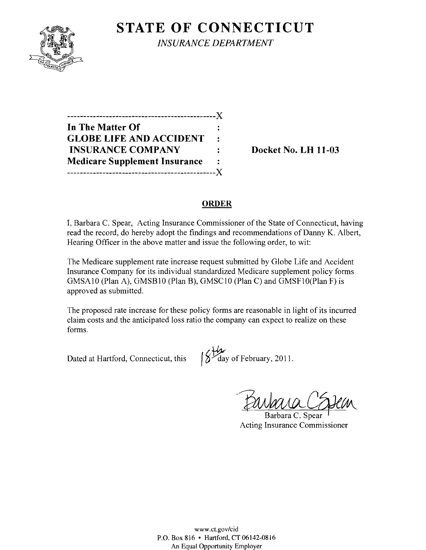

**STATE OF CONNECTICUT** *INSURANCE DEPARTMENT* 

----------------------------------------------)( **In The Matter Of GLOBE LIFE AND ACCIDENT INSURANCE COMPANY** : Docket No. LH 11-03 **Medicare Supplement Insurance**   $\ddot{\cdot}$ ----------------------------------------------)(

#### **ORDER**

I, Barbara C. Spear, Acting Insurance Commissioner of the State of Connecticut, having read the record, do hereby adopt the findings and recommendations of Danny K. Albert, Hearing Officer in the above matter and issue the following order, to wit:

The Medicare supplement rate increase request submitted by Globe Life and Accident Insurance Company for its individual standardized Medicare supplement policy forms GMSA10 (Plan A), GMSB10 (Plan B), GMSC10 (Plan C) and GMSF10 (Plan F) is approved as submitted.

The proposed rate increase for these policy forms are reasonable in light of its incurred claim costs and the anticipated loss ratio the company can expect to realize on these forms.

Dated at Hartford, Connecticut, this  $\frac{1}{2}$  day of February, 2011.

Barbara CESten

Acting Insurance Commissioner

www.ct.gov/cid P.O. Box 816 • Hartford, CT06142-0816 An Equal Opportunity Employer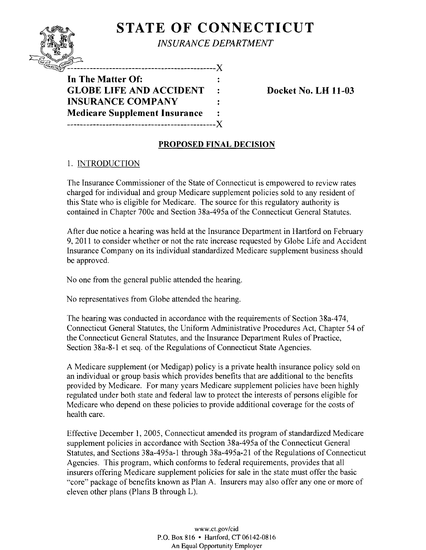## **STATE OF CONNECTICUT**



------------------X **In The Matter Of: GLOBE LIFE AND ACCIDENT : Docket No. LH 11-03 INSURANCE COMPANY Medicare Supplement Insurance**  ----------------------------------------------J(

#### **PROPOSED FINAL DECISION**

#### 1. INTRODUCTION

The Insurance Commissioner of the State of Connecticut is empowered to review rates charged for individual and group Medicare supplement policies sold to any resident of this State who is eligible for Medicare. The source for this regulatory authority is contained in Chapter 700c and Section 38a-495a of the Connecticut General Statutes.

After due notice a hearing was held at the Insurance Department in Hartford on February 9,2011 to consider whether or not the rate increase requested by Globe Life and Accident Insurance Company on its individual standardized Medicare supplement business should be approved.

No one from the general public attended the hearing.

No representatives from Globe attended the hearing.

The hearing was conducted in accordance with the requirements of Section 38a-474, Connecticut General Statutes, the Uniform Administrative Procedures Act, Chapter 54 of the Connecticut General Statutes, and the Insurance Department Rules of Practice, Section 38a-8-1 et seq. of the Regulations of Connecticut State Agencies.

A Medicare supplement (or Medigap) policy is a private health insurance policy sold on an individual or group basis which provides benefits that are additional to the benefits provided by Medicare. For many years Medicare supplement policies have been highly regulated under both state and federal law to protect the interests of persons eligible for Medicare who depend on these policies to provide additional coverage for the costs of health care.

Effective December 1, 2005, Connecticut amended its program of standardized Medicare supplement policies in accordance with Section 38a-495a of the Connecticut General Statutes, and Sections 38a-495a-l through 38a-495a-21 of the Regulations of Connecticut Agencies. This program, which conforms to federal requirements, provides that all insurers offering Medicare supplement policies for sale in the state must offer the basic "core" package of benefits known as Plan A. Insurers may also offer anyone or more of eleven other plans (Plans B through L).

> www.ct.gov/cid P.O. Box 816 • Hartford, CT 06142-0816 An Equal Opportunity Employer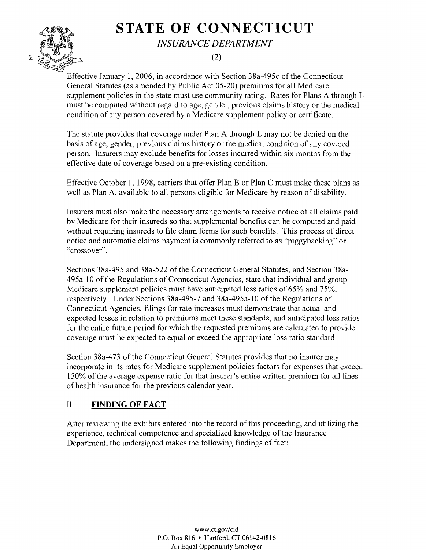# **STATE OF CONNECTICUT**



*INSURANCE DEPARTMENT* 

(2)

Effective January 1,2006, in accordance with Section 38a-495c of the Connecticut General Statutes (as amended by Public Act 05-20) premiums for all Medicare supplement policies in the state must use community rating. Rates for Plans A through L must be computed without regard to age, gender, previous claims history or the medical condition of any person covered by a Medicare supplement policy or certificate.

The statute provides that coverage under Plan A through L may not be denied on the basis of age, gender, previous claims history or the medical condition of any covered person. Insurers may exclude benefits for losses incurred within six months from the effective date of coverage based on a pre-existing condition.

Effective October 1, 1998, carriers that offer Plan B or Plan C must make these plans as well as Plan A, available to all persons eligible for Medicare by reason of disability.

Insurers must also make the necessary arrangements to receive notice of all claims paid by Medicare for their insureds so that supplemental benefits can be computed and paid without requiring insureds to file claim forms for such benefits. This process of direct notice and automatic claims payment is commonly referred to as "piggybacking" or "crossover".

Sections 38a-495 and 38a-522 of the Connecticut General Statutes, and Section 38a-495a-l0 of the Regulations of Connecticut Agencies, state that individual and group Medicare supplement policies must have anticipated loss ratios of 65% and 75%, respectively. Under Sections 38a-495-7 and 38a-495a-l0 of the Regulations of Connecticut Agencies, filings for rate increases must demonstrate that actual and expected losses in relation to premiums meet these standards, and anticipated loss ratios for the entire future period for which the requested premiums are calculated to provide coverage must be expected to equal or exceed the appropriate loss ratio standard.

Section 38a-473 of the Connecticut General Statutes provides that no insurer may incorporate in its rates for Medicare supplement policies factors for expenses that exceed 150% of the average expense ratio for that insurer's entire written premium for all lines of health insurance for the previous calendar year.

### II. **FINDING OF FACT**

After reviewing the exhibits entered into the record of this proceeding, and utilizing the experience, technical competence and specialized knowledge of the Insurance Department, the undersigned makes the following findings of fact:

> www.ct.gov/cid P.O. Box 816 • Hartford, CT 06142-0816 An Equal Opportunity Employer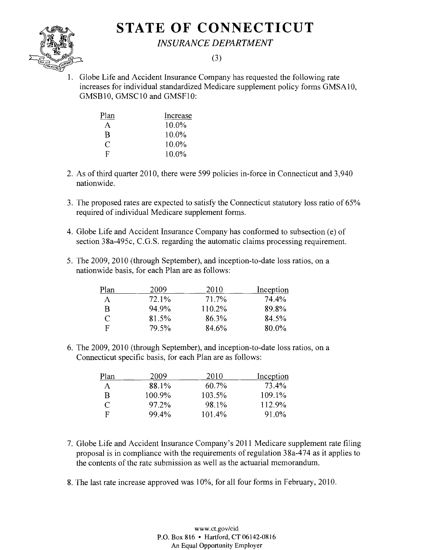## **STATE OF CONNECTICUT**



*INSURANCE DEPARTMENT* 

#### (3)

1. Globe Life and Accident Insurance Company has requested the following rate increases for individual standardized Medicare supplement policy fonns GMSA10, GMSB10, GMSC10 and GMSF10:

| Plan | Increase |
|------|----------|
| A    | 10.0%    |
| в    | 10.0%    |
| C    | $10.0\%$ |
| E    | $10.0\%$ |

- 2. As of third quarter 2010, there were 599 policies in-force in Connecticut and 3,940 nationwide.
- 3. The proposed rates are expected to satisfy the Connecticut statutory loss ratio of 65% required of individual Medicare supplement fonns.
- 4. Globe Life and Accident Insurance Company has conformed to subsection (e) of section 38a-495c, C.G.S. regarding the automatic claims processing requirement.
- 5. The 2009, 2010 (through September), and inception-to-date loss ratios, on a nationwide basis, for each Plan are as follows:

| Plan | 2009  | 2010   | Inception |
|------|-------|--------|-----------|
| A    | 72.1% | 71.7%  | 74.4%     |
| B    | 94.9% | 110.2% | 89.8%     |
| €    | 81.5% | 86.3%  | 84.5%     |
| F    | 79.5% | 84.6%  | $80.0\%$  |

6. The 2009, 2010 (through September), and inception-to-date loss ratios, on a Connecticut specific basis, for each Plan are as follows:

| Plan | 2009      | 2010     | Inception    |
|------|-----------|----------|--------------|
| A    | 88.1%     | $60.7\%$ | <b>73.4%</b> |
| B    | $100.9\%$ | 103.5%   | $109.1\%$    |
| C    | $97.2\%$  | 98.1%    | 112.9%       |
| F    | 99.4%     | 101.4%   | $91.0\%$     |

- 7. Globe Life and Accident Insurance Company's 2011 Medicare supplement rate filing proposal is in compliance with the requirements of regulation 38a-474 as it applies to the contents of the rate submission as well as the actuarial memorandum.
- 8. The last rate increase approved was 10%, for all four forms in February, 2010.

www.ct.gov/cid P.O. Box 816 • Hartford, CT 06]42-0816 An Equa] Opportunity Employer